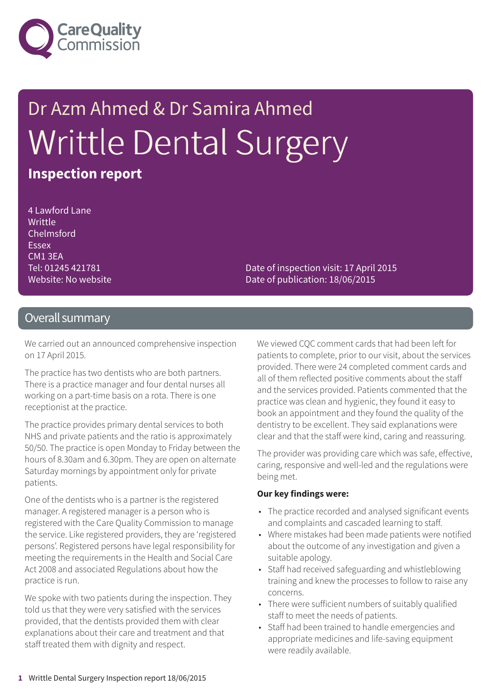

# Dr Azm Ahmed & Dr Samira Ahmed Writtle Dental Surgery **Inspection report**

4 Lawford Lane Writtle Chelmsford Essex CM1 3EA Tel: 01245 421781 Website: No website

Date of inspection visit: 17 April 2015 Date of publication: 18/06/2015

#### Overall summary

We carried out an announced comprehensive inspection on 17 April 2015.

The practice has two dentists who are both partners. There is a practice manager and four dental nurses all working on a part-time basis on a rota. There is one receptionist at the practice.

The practice provides primary dental services to both NHS and private patients and the ratio is approximately 50/50. The practice is open Monday to Friday between the hours of 8.30am and 6.30pm. They are open on alternate Saturday mornings by appointment only for private patients.

One of the dentists who is a partner is the registered manager. A registered manager is a person who is registered with the Care Quality Commission to manage the service. Like registered providers, they are 'registered persons'. Registered persons have legal responsibility for meeting the requirements in the Health and Social Care Act 2008 and associated Regulations about how the practice is run.

We spoke with two patients during the inspection. They told us that they were very satisfied with the services provided, that the dentists provided them with clear explanations about their care and treatment and that staff treated them with dignity and respect.

We viewed CQC comment cards that had been left for patients to complete, prior to our visit, about the services provided. There were 24 completed comment cards and all of them reflected positive comments about the staff and the services provided. Patients commented that the practice was clean and hygienic, they found it easy to book an appointment and they found the quality of the dentistry to be excellent. They said explanations were clear and that the staff were kind, caring and reassuring.

The provider was providing care which was safe, effective, caring, responsive and well-led and the regulations were being met.

#### **Our key findings were:**

- The practice recorded and analysed significant events and complaints and cascaded learning to staff.
- Where mistakes had been made patients were notified about the outcome of any investigation and given a suitable apology.
- Staff had received safeguarding and whistleblowing training and knew the processes to follow to raise any concerns.
- There were sufficient numbers of suitably qualified staff to meet the needs of patients.
- Staff had been trained to handle emergencies and appropriate medicines and life-saving equipment were readily available.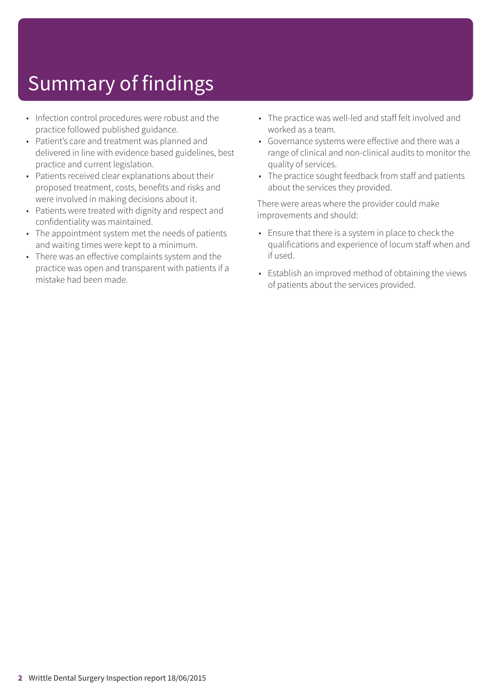# Summary of findings

- Infection control procedures were robust and the practice followed published guidance.
- Patient's care and treatment was planned and delivered in line with evidence based guidelines, best practice and current legislation.
- Patients received clear explanations about their proposed treatment, costs, benefits and risks and were involved in making decisions about it.
- Patients were treated with dignity and respect and confidentiality was maintained.
- The appointment system met the needs of patients and waiting times were kept to a minimum.
- There was an effective complaints system and the practice was open and transparent with patients if a mistake had been made.
- The practice was well-led and staff felt involved and worked as a team.
- Governance systems were effective and there was a range of clinical and non-clinical audits to monitor the quality of services.
- The practice sought feedback from staff and patients about the services they provided.

There were areas where the provider could make improvements and should:

- Ensure that there is a system in place to check the qualifications and experience of locum staff when and if used.
- Establish an improved method of obtaining the views of patients about the services provided.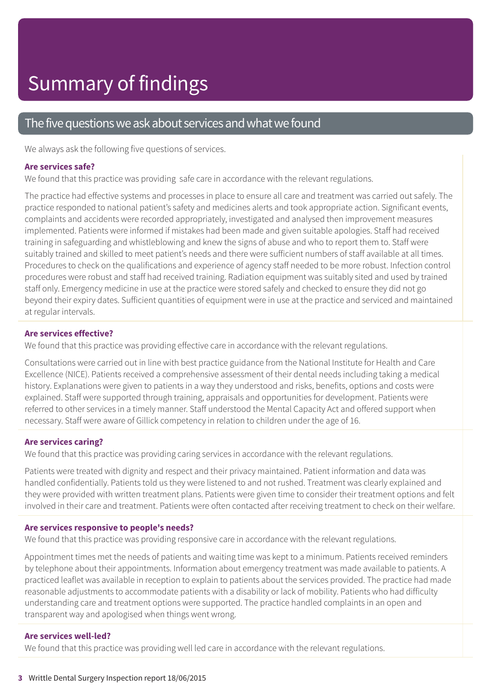#### The five questions we ask about services and what we found

We always ask the following five questions of services.

#### **Are services safe?**

We found that this practice was providing safe care in accordance with the relevant regulations.

The practice had effective systems and processes in place to ensure all care and treatment was carried out safely. The practice responded to national patient's safety and medicines alerts and took appropriate action. Significant events, complaints and accidents were recorded appropriately, investigated and analysed then improvement measures implemented. Patients were informed if mistakes had been made and given suitable apologies. Staff had received training in safeguarding and whistleblowing and knew the signs of abuse and who to report them to. Staff were suitably trained and skilled to meet patient's needs and there were sufficient numbers of staff available at all times. Procedures to check on the qualifications and experience of agency staff needed to be more robust. Infection control procedures were robust and staff had received training. Radiation equipment was suitably sited and used by trained staff only. Emergency medicine in use at the practice were stored safely and checked to ensure they did not go beyond their expiry dates. Sufficient quantities of equipment were in use at the practice and serviced and maintained at regular intervals.

#### **Are services effective?**

We found that this practice was providing effective care in accordance with the relevant regulations.

Consultations were carried out in line with best practice guidance from the National Institute for Health and Care Excellence (NICE). Patients received a comprehensive assessment of their dental needs including taking a medical history. Explanations were given to patients in a way they understood and risks, benefits, options and costs were explained. Staff were supported through training, appraisals and opportunities for development. Patients were referred to other services in a timely manner. Staff understood the Mental Capacity Act and offered support when necessary. Staff were aware of Gillick competency in relation to children under the age of 16.

#### **Are services caring?**

We found that this practice was providing caring services in accordance with the relevant regulations.

Patients were treated with dignity and respect and their privacy maintained. Patient information and data was handled confidentially. Patients told us they were listened to and not rushed. Treatment was clearly explained and they were provided with written treatment plans. Patients were given time to consider their treatment options and felt involved in their care and treatment. Patients were often contacted after receiving treatment to check on their welfare.

#### **Are services responsive to people's needs?**

We found that this practice was providing responsive care in accordance with the relevant regulations.

Appointment times met the needs of patients and waiting time was kept to a minimum. Patients received reminders by telephone about their appointments. Information about emergency treatment was made available to patients. A practiced leaflet was available in reception to explain to patients about the services provided. The practice had made reasonable adjustments to accommodate patients with a disability or lack of mobility. Patients who had difficulty understanding care and treatment options were supported. The practice handled complaints in an open and transparent way and apologised when things went wrong.

#### **Are services well-led?**

We found that this practice was providing well led care in accordance with the relevant regulations.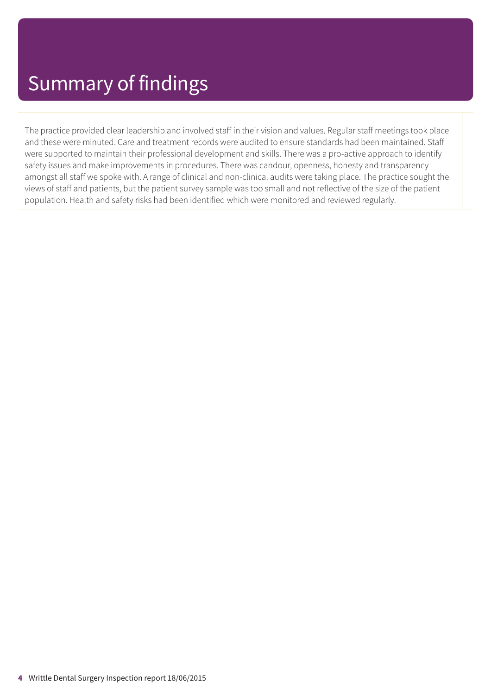The practice provided clear leadership and involved staff in their vision and values. Regular staff meetings took place and these were minuted. Care and treatment records were audited to ensure standards had been maintained. Staff were supported to maintain their professional development and skills. There was a pro-active approach to identify safety issues and make improvements in procedures. There was candour, openness, honesty and transparency amongst all staff we spoke with. A range of clinical and non-clinical audits were taking place. The practice sought the views of staff and patients, but the patient survey sample was too small and not reflective of the size of the patient population. Health and safety risks had been identified which were monitored and reviewed regularly.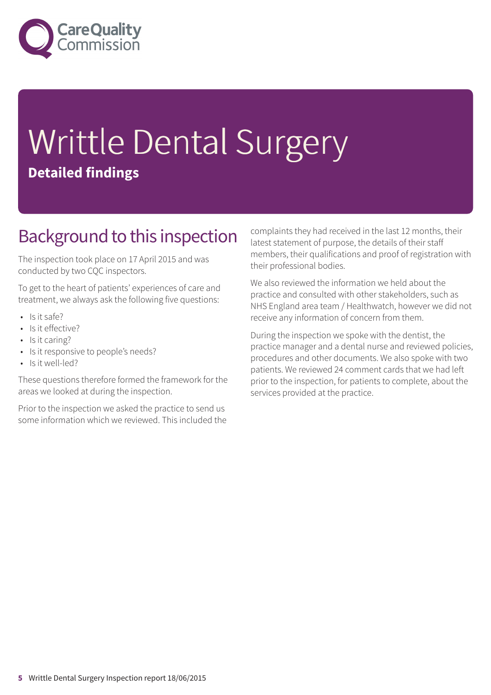

# Writtle Dental Surgery **Detailed findings**

### Background to this inspection

The inspection took place on 17 April 2015 and was conducted by two CQC inspectors.

To get to the heart of patients' experiences of care and treatment, we always ask the following five questions:

- Is it safe?
- Is it effective?
- Is it caring?
- Is it responsive to people's needs?
- Is it well-led?

These questions therefore formed the framework for the areas we looked at during the inspection.

Prior to the inspection we asked the practice to send us some information which we reviewed. This included the complaints they had received in the last 12 months, their latest statement of purpose, the details of their staff members, their qualifications and proof of registration with their professional bodies.

We also reviewed the information we held about the practice and consulted with other stakeholders, such as NHS England area team / Healthwatch, however we did not receive any information of concern from them.

During the inspection we spoke with the dentist, the practice manager and a dental nurse and reviewed policies, procedures and other documents. We also spoke with two patients. We reviewed 24 comment cards that we had left prior to the inspection, for patients to complete, about the services provided at the practice.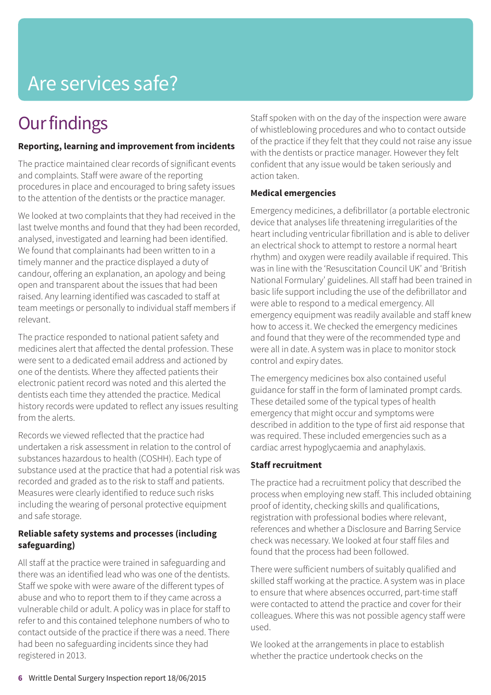# Are services safe?

# **Our findings**

#### **Reporting, learning and improvement from incidents**

The practice maintained clear records of significant events and complaints. Staff were aware of the reporting procedures in place and encouraged to bring safety issues to the attention of the dentists or the practice manager.

We looked at two complaints that they had received in the last twelve months and found that they had been recorded, analysed, investigated and learning had been identified. We found that complainants had been written to in a timely manner and the practice displayed a duty of candour, offering an explanation, an apology and being open and transparent about the issues that had been raised. Any learning identified was cascaded to staff at team meetings or personally to individual staff members if relevant.

The practice responded to national patient safety and medicines alert that affected the dental profession. These were sent to a dedicated email address and actioned by one of the dentists. Where they affected patients their electronic patient record was noted and this alerted the dentists each time they attended the practice. Medical history records were updated to reflect any issues resulting from the alerts.

Records we viewed reflected that the practice had undertaken a risk assessment in relation to the control of substances hazardous to health (COSHH). Each type of substance used at the practice that had a potential risk was recorded and graded as to the risk to staff and patients. Measures were clearly identified to reduce such risks including the wearing of personal protective equipment and safe storage.

#### **Reliable safety systems and processes (including safeguarding)**

All staff at the practice were trained in safeguarding and there was an identified lead who was one of the dentists. Staff we spoke with were aware of the different types of abuse and who to report them to if they came across a vulnerable child or adult. A policy was in place for staff to refer to and this contained telephone numbers of who to contact outside of the practice if there was a need. There had been no safeguarding incidents since they had registered in 2013.

Staff spoken with on the day of the inspection were aware of whistleblowing procedures and who to contact outside of the practice if they felt that they could not raise any issue with the dentists or practice manager. However they felt confident that any issue would be taken seriously and action taken.

#### **Medical emergencies**

Emergency medicines, a defibrillator (a portable electronic device that analyses life threatening irregularities of the heart including ventricular fibrillation and is able to deliver an electrical shock to attempt to restore a normal heart rhythm) and oxygen were readily available if required. This was in line with the 'Resuscitation Council UK' and 'British National Formulary' guidelines. All staff had been trained in basic life support including the use of the defibrillator and were able to respond to a medical emergency. All emergency equipment was readily available and staff knew how to access it. We checked the emergency medicines and found that they were of the recommended type and were all in date. A system was in place to monitor stock control and expiry dates.

The emergency medicines box also contained useful guidance for staff in the form of laminated prompt cards. These detailed some of the typical types of health emergency that might occur and symptoms were described in addition to the type of first aid response that was required. These included emergencies such as a cardiac arrest hypoglycaemia and anaphylaxis.

#### **Staff recruitment**

The practice had a recruitment policy that described the process when employing new staff. This included obtaining proof of identity, checking skills and qualifications, registration with professional bodies where relevant, references and whether a Disclosure and Barring Service check was necessary. We looked at four staff files and found that the process had been followed.

There were sufficient numbers of suitably qualified and skilled staff working at the practice. A system was in place to ensure that where absences occurred, part-time staff were contacted to attend the practice and cover for their colleagues. Where this was not possible agency staff were used.

We looked at the arrangements in place to establish whether the practice undertook checks on the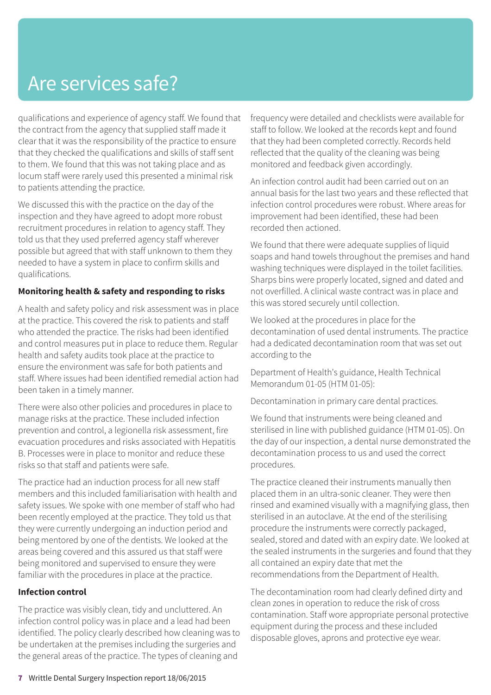# Are services safe?

qualifications and experience of agency staff. We found that the contract from the agency that supplied staff made it clear that it was the responsibility of the practice to ensure that they checked the qualifications and skills of staff sent to them. We found that this was not taking place and as locum staff were rarely used this presented a minimal risk to patients attending the practice.

We discussed this with the practice on the day of the inspection and they have agreed to adopt more robust recruitment procedures in relation to agency staff. They told us that they used preferred agency staff wherever possible but agreed that with staff unknown to them they needed to have a system in place to confirm skills and qualifications.

#### **Monitoring health & safety and responding to risks**

A health and safety policy and risk assessment was in place at the practice. This covered the risk to patients and staff who attended the practice. The risks had been identified and control measures put in place to reduce them. Regular health and safety audits took place at the practice to ensure the environment was safe for both patients and staff. Where issues had been identified remedial action had been taken in a timely manner.

There were also other policies and procedures in place to manage risks at the practice. These included infection prevention and control, a legionella risk assessment, fire evacuation procedures and risks associated with Hepatitis B. Processes were in place to monitor and reduce these risks so that staff and patients were safe.

The practice had an induction process for all new staff members and this included familiarisation with health and safety issues. We spoke with one member of staff who had been recently employed at the practice. They told us that they were currently undergoing an induction period and being mentored by one of the dentists. We looked at the areas being covered and this assured us that staff were being monitored and supervised to ensure they were familiar with the procedures in place at the practice.

#### **Infection control**

The practice was visibly clean, tidy and uncluttered. An infection control policy was in place and a lead had been identified. The policy clearly described how cleaning was to be undertaken at the premises including the surgeries and the general areas of the practice. The types of cleaning and

frequency were detailed and checklists were available for staff to follow. We looked at the records kept and found that they had been completed correctly. Records held reflected that the quality of the cleaning was being monitored and feedback given accordingly.

An infection control audit had been carried out on an annual basis for the last two years and these reflected that infection control procedures were robust. Where areas for improvement had been identified, these had been recorded then actioned.

We found that there were adequate supplies of liquid soaps and hand towels throughout the premises and hand washing techniques were displayed in the toilet facilities. Sharps bins were properly located, signed and dated and not overfilled. A clinical waste contract was in place and this was stored securely until collection.

We looked at the procedures in place for the decontamination of used dental instruments. The practice had a dedicated decontamination room that was set out according to the

Department of Health's guidance, Health Technical Memorandum 01-05 (HTM 01-05):

Decontamination in primary care dental practices.

We found that instruments were being cleaned and sterilised in line with published guidance (HTM 01-05). On the day of our inspection, a dental nurse demonstrated the decontamination process to us and used the correct procedures.

The practice cleaned their instruments manually then placed them in an ultra-sonic cleaner. They were then rinsed and examined visually with a magnifying glass, then sterilised in an autoclave. At the end of the sterilising procedure the instruments were correctly packaged, sealed, stored and dated with an expiry date. We looked at the sealed instruments in the surgeries and found that they all contained an expiry date that met the recommendations from the Department of Health.

The decontamination room had clearly defined dirty and clean zones in operation to reduce the risk of cross contamination. Staff wore appropriate personal protective equipment during the process and these included disposable gloves, aprons and protective eye wear.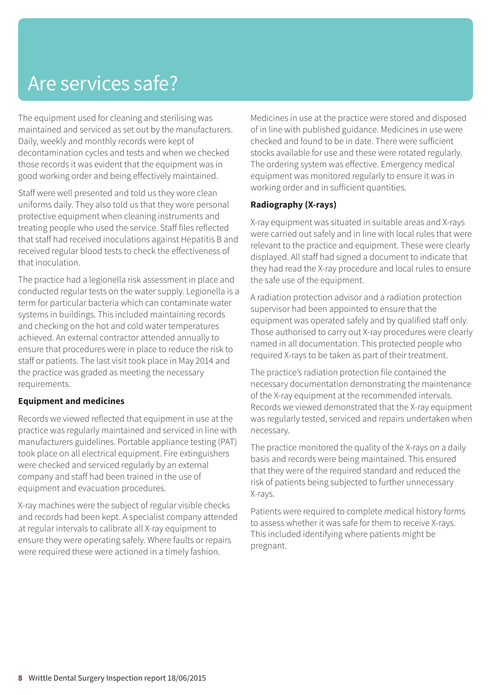## Are services safe?

The equipment used for cleaning and sterilising was maintained and serviced as set out by the manufacturers. Daily, weekly and monthly records were kept of decontamination cycles and tests and when we checked those records it was evident that the equipment was in good working order and being effectively maintained.

Staff were well presented and told us they wore clean uniforms daily. They also told us that they wore personal protective equipment when cleaning instruments and treating people who used the service. Staff files reflected that staff had received inoculations against Hepatitis B and received regular blood tests to check the effectiveness of that inoculation.

The practice had a legionella risk assessment in place and conducted regular tests on the water supply. Legionella is a term for particular bacteria which can contaminate water systems in buildings. This included maintaining records and checking on the hot and cold water temperatures achieved. An external contractor attended annually to ensure that procedures were in place to reduce the risk to staff or patients. The last visit took place in May 2014 and the practice was graded as meeting the necessary requirements.

#### **Equipment and medicines**

Records we viewed reflected that equipment in use at the practice was regularly maintained and serviced in line with manufacturers guidelines. Portable appliance testing (PAT) took place on all electrical equipment. Fire extinguishers were checked and serviced regularly by an external company and staff had been trained in the use of equipment and evacuation procedures.

X-ray machines were the subject of regular visible checks and records had been kept. A specialist company attended at regular intervals to calibrate all X-ray equipment to ensure they were operating safely. Where faults or repairs were required these were actioned in a timely fashion.

Medicines in use at the practice were stored and disposed of in line with published guidance. Medicines in use were checked and found to be in date. There were sufficient stocks available for use and these were rotated regularly. The ordering system was effective. Emergency medical equipment was monitored regularly to ensure it was in working order and in sufficient quantities.

#### **Radiography (X-rays)**

X-ray equipment was situated in suitable areas and X-rays were carried out safely and in line with local rules that were relevant to the practice and equipment. These were clearly displayed. All staff had signed a document to indicate that they had read the X-ray procedure and local rules to ensure the safe use of the equipment.

A radiation protection advisor and a radiation protection supervisor had been appointed to ensure that the equipment was operated safely and by qualified staff only. Those authorised to carry out X-ray procedures were clearly named in all documentation. This protected people who required X-rays to be taken as part of their treatment.

The practice's radiation protection file contained the necessary documentation demonstrating the maintenance of the X-ray equipment at the recommended intervals. Records we viewed demonstrated that the X-ray equipment was regularly tested, serviced and repairs undertaken when necessary.

The practice monitored the quality of the X-rays on a daily basis and records were being maintained. This ensured that they were of the required standard and reduced the risk of patients being subjected to further unnecessary X-rays.

Patients were required to complete medical history forms to assess whether it was safe for them to receive X-rays. This included identifying where patients might be pregnant.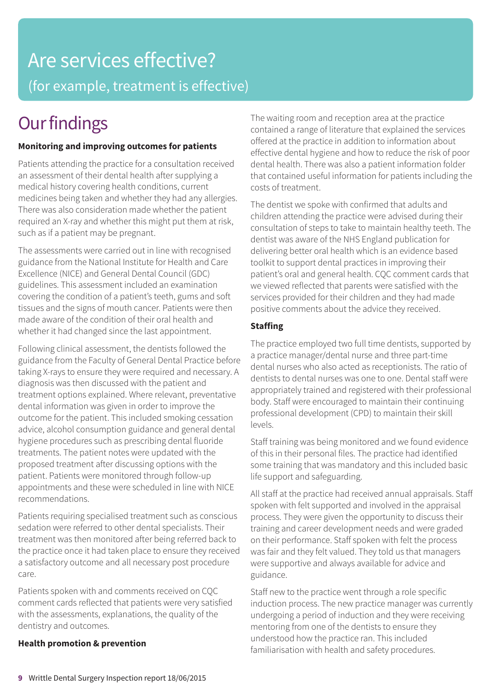# Are services effective? (for example, treatment is effective)

# **Our findings**

#### **Monitoring and improving outcomes for patients**

Patients attending the practice for a consultation received an assessment of their dental health after supplying a medical history covering health conditions, current medicines being taken and whether they had any allergies. There was also consideration made whether the patient required an X-ray and whether this might put them at risk, such as if a patient may be pregnant.

The assessments were carried out in line with recognised guidance from the National Institute for Health and Care Excellence (NICE) and General Dental Council (GDC) guidelines. This assessment included an examination covering the condition of a patient's teeth, gums and soft tissues and the signs of mouth cancer. Patients were then made aware of the condition of their oral health and whether it had changed since the last appointment.

Following clinical assessment, the dentists followed the guidance from the Faculty of General Dental Practice before taking X-rays to ensure they were required and necessary. A diagnosis was then discussed with the patient and treatment options explained. Where relevant, preventative dental information was given in order to improve the outcome for the patient. This included smoking cessation advice, alcohol consumption guidance and general dental hygiene procedures such as prescribing dental fluoride treatments. The patient notes were updated with the proposed treatment after discussing options with the patient. Patients were monitored through follow-up appointments and these were scheduled in line with NICE recommendations.

Patients requiring specialised treatment such as conscious sedation were referred to other dental specialists. Their treatment was then monitored after being referred back to the practice once it had taken place to ensure they received a satisfactory outcome and all necessary post procedure care.

Patients spoken with and comments received on CQC comment cards reflected that patients were very satisfied with the assessments, explanations, the quality of the dentistry and outcomes.

#### **Health promotion & prevention**

The waiting room and reception area at the practice contained a range of literature that explained the services offered at the practice in addition to information about effective dental hygiene and how to reduce the risk of poor dental health. There was also a patient information folder that contained useful information for patients including the costs of treatment.

The dentist we spoke with confirmed that adults and children attending the practice were advised during their consultation of steps to take to maintain healthy teeth. The dentist was aware of the NHS England publication for delivering better oral health which is an evidence based toolkit to support dental practices in improving their patient's oral and general health. CQC comment cards that we viewed reflected that parents were satisfied with the services provided for their children and they had made positive comments about the advice they received.

#### **Staffing**

The practice employed two full time dentists, supported by a practice manager/dental nurse and three part-time dental nurses who also acted as receptionists. The ratio of dentists to dental nurses was one to one. Dental staff were appropriately trained and registered with their professional body. Staff were encouraged to maintain their continuing professional development (CPD) to maintain their skill levels.

Staff training was being monitored and we found evidence of this in their personal files. The practice had identified some training that was mandatory and this included basic life support and safeguarding.

All staff at the practice had received annual appraisals. Staff spoken with felt supported and involved in the appraisal process. They were given the opportunity to discuss their training and career development needs and were graded on their performance. Staff spoken with felt the process was fair and they felt valued. They told us that managers were supportive and always available for advice and guidance.

Staff new to the practice went through a role specific induction process. The new practice manager was currently undergoing a period of induction and they were receiving mentoring from one of the dentists to ensure they understood how the practice ran. This included familiarisation with health and safety procedures.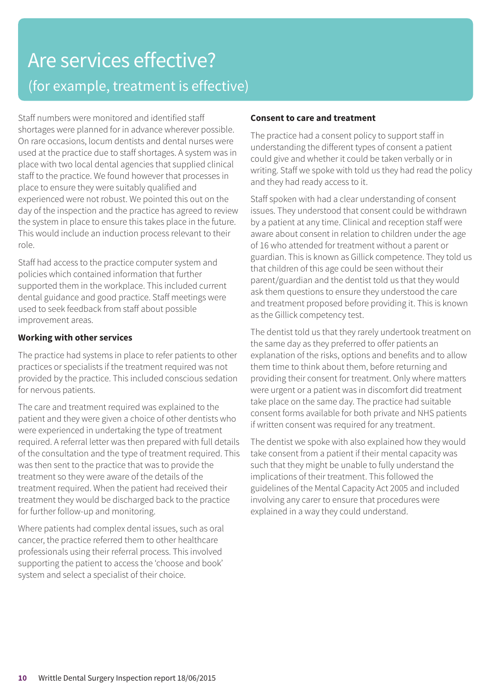### Are services effective? (for example, treatment is effective)

Staff numbers were monitored and identified staff shortages were planned for in advance wherever possible. On rare occasions, locum dentists and dental nurses were used at the practice due to staff shortages. A system was in place with two local dental agencies that supplied clinical staff to the practice. We found however that processes in place to ensure they were suitably qualified and experienced were not robust. We pointed this out on the day of the inspection and the practice has agreed to review the system in place to ensure this takes place in the future. This would include an induction process relevant to their role.

Staff had access to the practice computer system and policies which contained information that further supported them in the workplace. This included current dental guidance and good practice. Staff meetings were used to seek feedback from staff about possible improvement areas.

#### **Working with other services**

The practice had systems in place to refer patients to other practices or specialists if the treatment required was not provided by the practice. This included conscious sedation for nervous patients.

The care and treatment required was explained to the patient and they were given a choice of other dentists who were experienced in undertaking the type of treatment required. A referral letter was then prepared with full details of the consultation and the type of treatment required. This was then sent to the practice that was to provide the treatment so they were aware of the details of the treatment required. When the patient had received their treatment they would be discharged back to the practice for further follow-up and monitoring.

Where patients had complex dental issues, such as oral cancer, the practice referred them to other healthcare professionals using their referral process. This involved supporting the patient to access the 'choose and book' system and select a specialist of their choice.

#### **Consent to care and treatment**

The practice had a consent policy to support staff in understanding the different types of consent a patient could give and whether it could be taken verbally or in writing. Staff we spoke with told us they had read the policy and they had ready access to it.

Staff spoken with had a clear understanding of consent issues. They understood that consent could be withdrawn by a patient at any time. Clinical and reception staff were aware about consent in relation to children under the age of 16 who attended for treatment without a parent or guardian. This is known as Gillick competence. They told us that children of this age could be seen without their parent/guardian and the dentist told us that they would ask them questions to ensure they understood the care and treatment proposed before providing it. This is known as the Gillick competency test.

The dentist told us that they rarely undertook treatment on the same day as they preferred to offer patients an explanation of the risks, options and benefits and to allow them time to think about them, before returning and providing their consent for treatment. Only where matters were urgent or a patient was in discomfort did treatment take place on the same day. The practice had suitable consent forms available for both private and NHS patients if written consent was required for any treatment.

The dentist we spoke with also explained how they would take consent from a patient if their mental capacity was such that they might be unable to fully understand the implications of their treatment. This followed the guidelines of the Mental Capacity Act 2005 and included involving any carer to ensure that procedures were explained in a way they could understand.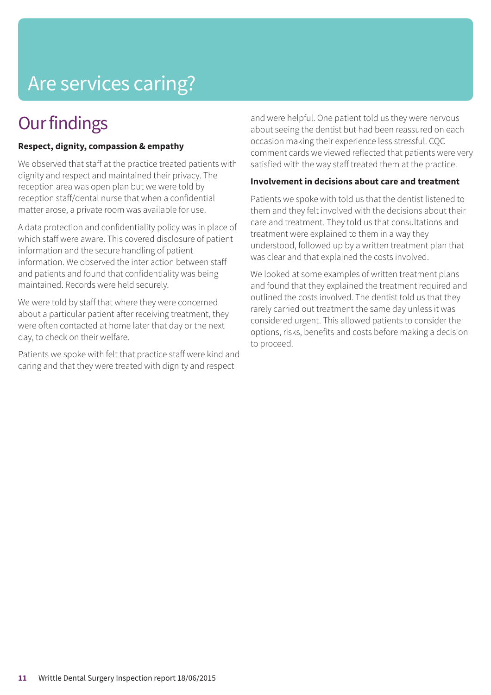# Are services caring?

### **Our findings**

#### **Respect, dignity, compassion & empathy**

We observed that staff at the practice treated patients with dignity and respect and maintained their privacy. The reception area was open plan but we were told by reception staff/dental nurse that when a confidential matter arose, a private room was available for use.

A data protection and confidentiality policy was in place of which staff were aware. This covered disclosure of patient information and the secure handling of patient information. We observed the inter action between staff and patients and found that confidentiality was being maintained. Records were held securely.

We were told by staff that where they were concerned about a particular patient after receiving treatment, they were often contacted at home later that day or the next day, to check on their welfare.

Patients we spoke with felt that practice staff were kind and caring and that they were treated with dignity and respect

and were helpful. One patient told us they were nervous about seeing the dentist but had been reassured on each occasion making their experience less stressful. CQC comment cards we viewed reflected that patients were very satisfied with the way staff treated them at the practice.

#### **Involvement in decisions about care and treatment**

Patients we spoke with told us that the dentist listened to them and they felt involved with the decisions about their care and treatment. They told us that consultations and treatment were explained to them in a way they understood, followed up by a written treatment plan that was clear and that explained the costs involved.

We looked at some examples of written treatment plans and found that they explained the treatment required and outlined the costs involved. The dentist told us that they rarely carried out treatment the same day unless it was considered urgent. This allowed patients to consider the options, risks, benefits and costs before making a decision to proceed.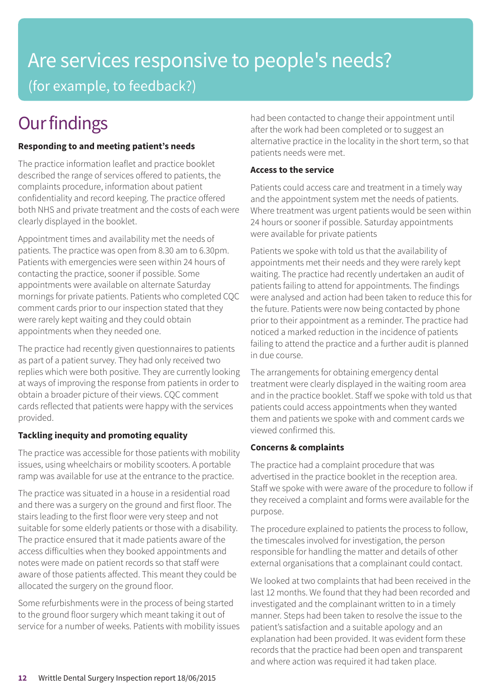# Are services responsive to people's needs? (for example, to feedback?)

# **Our findings**

#### **Responding to and meeting patient's needs**

The practice information leaflet and practice booklet described the range of services offered to patients, the complaints procedure, information about patient confidentiality and record keeping. The practice offered both NHS and private treatment and the costs of each were clearly displayed in the booklet.

Appointment times and availability met the needs of patients. The practice was open from 8.30 am to 6.30pm. Patients with emergencies were seen within 24 hours of contacting the practice, sooner if possible. Some appointments were available on alternate Saturday mornings for private patients. Patients who completed CQC comment cards prior to our inspection stated that they were rarely kept waiting and they could obtain appointments when they needed one.

The practice had recently given questionnaires to patients as part of a patient survey. They had only received two replies which were both positive. They are currently looking at ways of improving the response from patients in order to obtain a broader picture of their views. CQC comment cards reflected that patients were happy with the services provided.

#### **Tackling inequity and promoting equality**

The practice was accessible for those patients with mobility issues, using wheelchairs or mobility scooters. A portable ramp was available for use at the entrance to the practice.

The practice was situated in a house in a residential road and there was a surgery on the ground and first floor. The stairs leading to the first floor were very steep and not suitable for some elderly patients or those with a disability. The practice ensured that it made patients aware of the access difficulties when they booked appointments and notes were made on patient records so that staff were aware of those patients affected. This meant they could be allocated the surgery on the ground floor.

Some refurbishments were in the process of being started to the ground floor surgery which meant taking it out of service for a number of weeks. Patients with mobility issues had been contacted to change their appointment until after the work had been completed or to suggest an alternative practice in the locality in the short term, so that patients needs were met.

#### **Access to the service**

Patients could access care and treatment in a timely way and the appointment system met the needs of patients. Where treatment was urgent patients would be seen within 24 hours or sooner if possible. Saturday appointments were available for private patients

Patients we spoke with told us that the availability of appointments met their needs and they were rarely kept waiting. The practice had recently undertaken an audit of patients failing to attend for appointments. The findings were analysed and action had been taken to reduce this for the future. Patients were now being contacted by phone prior to their appointment as a reminder. The practice had noticed a marked reduction in the incidence of patients failing to attend the practice and a further audit is planned in due course.

The arrangements for obtaining emergency dental treatment were clearly displayed in the waiting room area and in the practice booklet. Staff we spoke with told us that patients could access appointments when they wanted them and patients we spoke with and comment cards we viewed confirmed this.

#### **Concerns & complaints**

The practice had a complaint procedure that was advertised in the practice booklet in the reception area. Staff we spoke with were aware of the procedure to follow if they received a complaint and forms were available for the purpose.

The procedure explained to patients the process to follow, the timescales involved for investigation, the person responsible for handling the matter and details of other external organisations that a complainant could contact.

We looked at two complaints that had been received in the last 12 months. We found that they had been recorded and investigated and the complainant written to in a timely manner. Steps had been taken to resolve the issue to the patient's satisfaction and a suitable apology and an explanation had been provided. It was evident form these records that the practice had been open and transparent and where action was required it had taken place.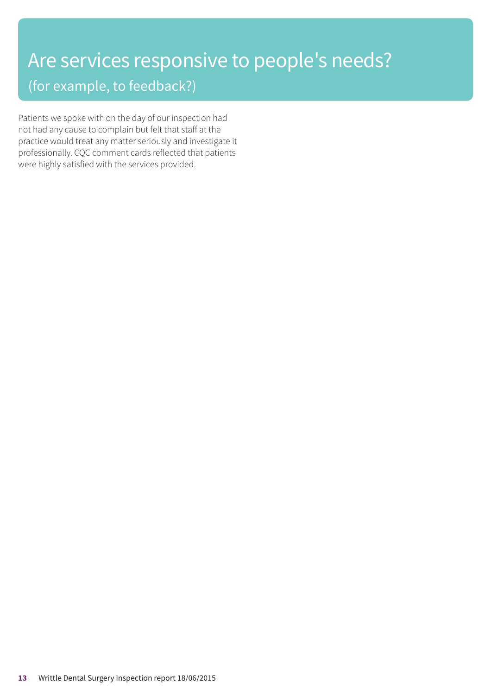### Are services responsive to people's needs? (for example, to feedback?)

Patients we spoke with on the day of our inspection had not had any cause to complain but felt that staff at the practice would treat any matter seriously and investigate it professionally. CQC comment cards reflected that patients were highly satisfied with the services provided.